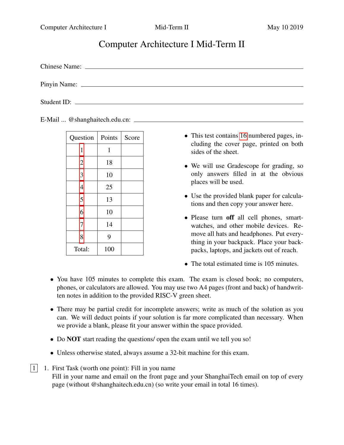# Computer Architecture I Mid-Term II

Chinese Name:

Pinyin Name:

Student ID:

E-Mail ... @shanghaitech.edu.cn:

| Question       | Points       | Score |
|----------------|--------------|-------|
| 1              | $\mathbf{1}$ |       |
| $\overline{2}$ | 18           |       |
| 3              | 10           |       |
| $\overline{4}$ | 25           |       |
| 5              | 13           |       |
| 6              | 10           |       |
| 7              | 14           |       |
| 8              | 9            |       |
| Total:         | 100          |       |

- This test contains [16](#page-15-0) numbered pages, including the cover page, printed on both sides of the sheet.
- We will use Gradescope for grading, so only answers filled in at the obvious places will be used.
- Use the provided blank paper for calculations and then copy your answer here.
- Please turn off all cell phones, smartwatches, and other mobile devices. Remove all hats and headphones. Put everything in your backpack. Place your backpacks, laptops, and jackets out of reach.
- The total estimated time is 105 minutes.
- You have 105 minutes to complete this exam. The exam is closed book; no computers, phones, or calculators are allowed. You may use two A4 pages (front and back) of handwritten notes in addition to the provided RISC-V green sheet.
- There may be partial credit for incomplete answers; write as much of the solution as you can. We will deduct points if your solution is far more complicated than necessary. When we provide a blank, please fit your answer within the space provided.
- Do **NOT** start reading the questions/ open the exam until we tell you so!
- Unless otherwise stated, always assume a 32-bit machine for this exam.

<span id="page-0-0"></span> $|1|$  1. First Task (worth one point): Fill in you name Fill in your name and email on the front page and your ShanghaiTech email on top of every page (without @shanghaitech.edu.cn) (so write your email in total 16 times).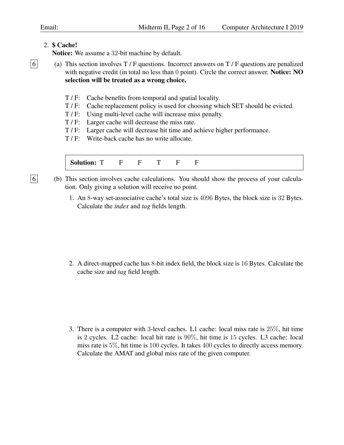# <span id="page-1-0"></span>2. \$ Cache!

Notice: We assume a 32-bit machine by default.

 $\boxed{6}$  (a) This section involves T / F questions. Incorrect answers on T / F questions are penalized with negative credit (in total no less than 0 point). Circle the correct answer. Notice: NO selection will be treated as a wrong choice.

- T / F: Cache benefits from temporal and spatial locality.
- T / F: Cache replacement policy is used for choosing which SET should be evicted.
- T / F: Using multi-level cache will increase miss penalty.
- T / F: Larger cache will decrease the miss rate.
- T / F: Larger cache will decrease hit time and achieve higher performance.
- T / F: Write-back cache has no write allocate.

Solution: T F F T F F

- $\boxed{6}$  (b) This section involves cache calculations. You should show the process of your calculation. Only giving a solution will receive no point.
	- 1. An 8-way set-associative cache's total size is 4096 Bytes, the block size is 32 Bytes. Calculate the *index* and *tag* fields length.

2. A direct-mapped cache has 8-bit index field, the block size is 16 Bytes. Calculate the cache size and *tag* field length.

3. There is a computer with 3-level caches. L1 cache: local miss rate is 25%, hit time is 2 cycles. L2 cache: local hit rate is 90%, hit time is 15 cycles. L3 cache: local miss rate is 5%, hit time is 100 cycles. It takes 400 cycles to directly access memory. Calculate the AMAT and global miss rate of the given computer.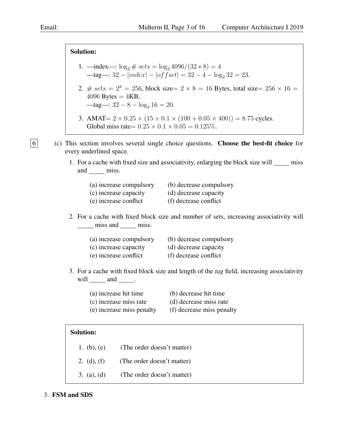Solution:

- 1. —index—:  $\log_2 \# sets = \log_2 4096/(32 * 8) = 4$ —tag—:  $32 - |index| - |offset| = 32 - 4 - log_2 32 = 23.$
- 2. # sets =  $2^8 = 256$ , block size=  $2 \times 8 = 16$  Bytes, total size=  $256 \times 16 =$  $4096$  Bytes =  $4KB$ . —tag—:  $32 - 8 - \log_2 16 = 20$ .
- 3. AMAT=  $2 + 0.25 \times (15 + 0.1 \times (100 + 0.05 \times 400)) = 8.75$  cycles. Global miss rate=  $0.25 \times 0.1 \times 0.05 = 0.125\%$ .
- $\boxed{6}$  (c) This section involves several single choice questions. Choose the best-fit choice for every underlined space.
	- 1. For a cache with fixed size and associativity, enlarging the block size will miss and \_\_\_\_\_\_ miss.

| (a) increase compulsory | (b) decrease compulsory |
|-------------------------|-------------------------|
| (c) increase capacity   | (d) decrease capacity   |
| (e) increase conflict   | (f) decrease conflict   |

2. For a cache with fixed block size and number of sets, increasing associativity will miss and miss.

| (a) increase compulsory | (b) decrease compulsory |
|-------------------------|-------------------------|
| (c) increase capacity   | (d) decrease capacity   |
| (e) increase conflict   | (f) decrease conflict   |

- 3. For a cache with fixed block size and length of the *tag* field, increasing associativity will  $\_\_\_\$  and  $\_\_\_\$ .
	- (a) increase hit time (b) decrease hit time
	- (c) increase miss rate (d) decrease miss rate
		-
	- (e) increase miss penalty (f) decrease miss penalty

### Solution:

1. (b), (e) (The order doesn't matter) 2. (d), (f) (The order doesn't matter) 3. (a), (d) (The order doesn't matter)

### <span id="page-2-0"></span>3. FSM and SDS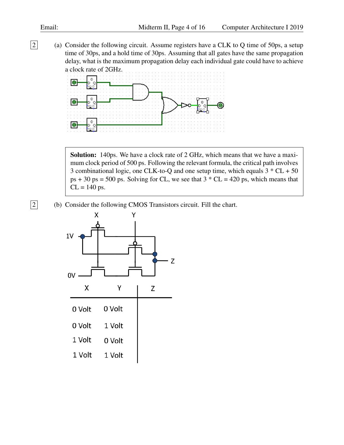2 (a) Consider the following circuit. Assume registers have a CLK to Q time of 50ps, a setup time of 30ps, and a hold time of 30ps. Assuming that all gates have the same propagation delay, what is the maximum propagation delay each individual gate could have to achieve a clock rate of 2GHz.



Solution: 140ps. We have a clock rate of 2 GHz, which means that we have a maximum clock period of 500 ps. Following the relevant formula, the critical path involves 3 combinational logic, one CLK-to-Q and one setup time, which equals  $3 * CL + 50$  $ps + 30 ps = 500 ps$ . Solving for CL, we see that  $3 * CL = 420 ps$ , which means that  $CL = 140$  ps.

2 (b) Consider the following CMOS Transistors circuit. Fill the chart.

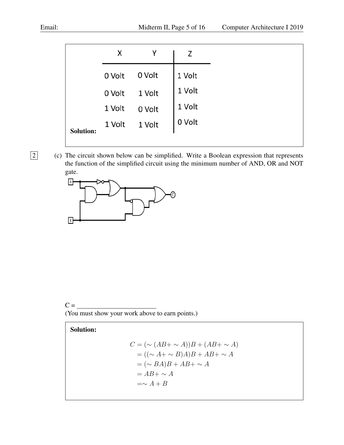|                  | х      |                                                                                                |        |
|------------------|--------|------------------------------------------------------------------------------------------------|--------|
|                  | 0 Volt | 0 Volt                                                                                         | 1 Volt |
|                  |        | $0$ Volt $1$ Volt<br>$\begin{array}{c c} \n\sqrt{1} & 0 & 0 \\ \hline\n1 & 1 & 0\n\end{array}$ | 1 Volt |
|                  |        |                                                                                                | 1 Volt |
| <b>Solution:</b> |        |                                                                                                | 0 Volt |
|                  |        |                                                                                                |        |

2 (c) The circuit shown below can be simplified. Write a Boolean expression that represents the function of the simplified circuit using the minimum number of AND, OR and NOT gate.



 $C = \underline{\qquad}$ (You must show your work above to earn points.)

# Solution:

$$
C = (\sim (AB + \sim A))B + (AB + \sim A)
$$
  
= ((\sim A + \sim B)A)B + AB + \sim A  
= (\sim BA)B + AB + \sim A  
= AB + \sim A  
= \sim A + B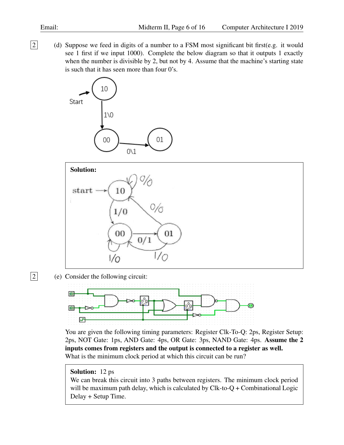2 (d) Suppose we feed in digits of a number to a FSM most significant bit first(e.g. it would see 1 first if we input 1000). Complete the below diagram so that it outputs 1 exactly when the number is divisible by 2, but not by 4. Assume that the machine's starting state is such that it has seen more than four 0's.





 $\boxed{2}$  (e) Consider the following circuit:



You are given the following timing parameters: Register Clk-To-Q: 2ps, Register Setup: 2ps, NOT Gate: 1ps, AND Gate: 4ps, OR Gate: 3ps, NAND Gate: 4ps. Assume the 2 inputs comes from registers and the output is connected to a register as well. What is the minimum clock period at which this circuit can be run?

# Solution: 12 ps

We can break this circuit into 3 paths between registers. The minimum clock period will be maximum path delay, which is calculated by  $Clk-to-Q + Combinational Logic$ Delay + Setup Time.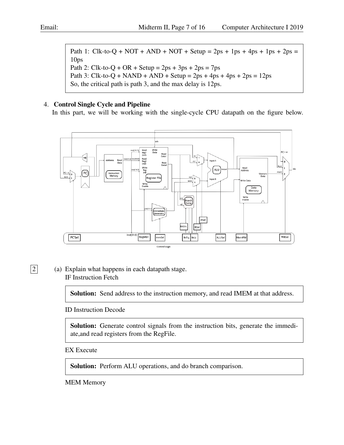Path 1: Clk-to-Q + NOT + AND + NOT + Setup =  $2ps + 1ps + 4ps + 1ps + 2ps =$ 10ps Path 2: Clk-to- $Q + OR +$  Setup = 2ps + 3ps + 2ps = 7ps Path 3: Clk-to-Q + NAND + AND + Setup =  $2ps + 4ps + 4ps + 2ps = 12ps$ So, the critical path is path 3, and the max delay is 12ps.

# <span id="page-6-0"></span>4. Control Single Cycle and Pipeline

In this part, we will be working with the single-cycle CPU datapath on the figure below.



 $\boxed{2}$  (a) Explain what happens in each datapath stage. IF Instruction Fetch

Solution: Send address to the instruction memory, and read IMEM at that address.

ID Instruction Decode

Solution: Generate control signals from the instruction bits, generate the immediate,and read registers from the RegFile.

EX Execute

Solution: Perform ALU operations, and do branch comparison.

MEM Memory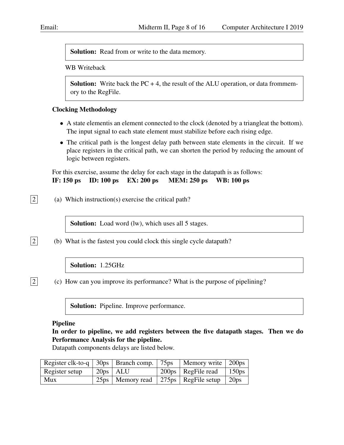Solution: Read from or write to the data memory.

### WB Writeback

**Solution:** Write back the  $PC + 4$ , the result of the ALU operation, or data frommemory to the RegFile.

# Clocking Methodology

- A state elementis an element connected to the clock (denoted by a triangleat the bottom). The input signal to each state element must stabilize before each rising edge.
- The critical path is the longest delay path between state elements in the circuit. If we place registers in the critical path, we can shorten the period by reducing the amount of logic between registers.

For this exercise, assume the delay for each stage in the datapath is as follows:

IF: 150 ps ID: 100 ps EX: 200 ps MEM: 250 ps WB: 100 ps

 $\boxed{2}$  (a) Which instruction(s) exercise the critical path?

Solution: Load word (lw), which uses all 5 stages.

 $|2|$  (b) What is the fastest you could clock this single cycle datapath?

# Solution: 1.25GHz

 $\boxed{2}$  (c) How can you improve its performance? What is the purpose of pipelining?

Solution: Pipeline. Improve performance.

### Pipeline

In order to pipeline, we add registers between the five datapath stages. Then we do Performance Analysis for the pipeline.

Datapath components delays are listed below.

| Register clk-to-q   30ps   Branch comp.   75ps   Memory write   200ps |              |  |                                                              |  |
|-----------------------------------------------------------------------|--------------|--|--------------------------------------------------------------|--|
| Register setup                                                        | $20ps$   ALU |  | 200ps   RegFile read   150ps                                 |  |
| <b>Mux</b>                                                            |              |  | $25\text{ps}$   Memory read   275 ps   RegFile setup   20 ps |  |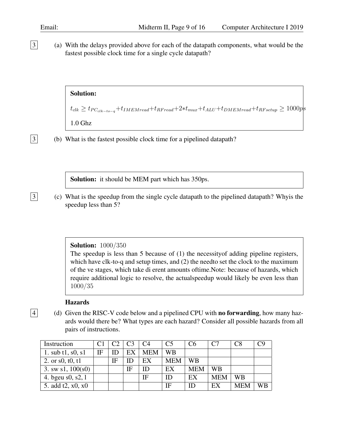3 (a) With the delays provided above for each of the datapath components, what would be the fastest possible clock time for a single cycle datapath?

Solution:

 $t_{clk} \geq t_{PC_{clk-to-a}}+t_{IMEM read}+t_{RFreq}+2*t_{mu}+t_{ALU}+t_{DMEM read}+t_{RF setup} \geq 1000p$ s 1.0 Ghz

3 (b) What is the fastest possible clock time for a pipelined datapath?

Solution: it should be MEM part which has 350ps.

3 (c) What is the speedup from the single cycle datapath to the pipelined datapath? Whyis the speedup less than 5?

#### **Solution: 1000/350**

The speedup is less than 5 because of (1) the necessityof adding pipeline registers, which have clk-to-q and setup times, and (2) the needto set the clock to the maximum of the ve stages, which take di erent amounts oftime.Note: because of hazards, which require additional logic to resolve, the actualspeedup would likely be even less than 1000/35

#### **Hazards**

 $\boxed{4}$  (d) Given the RISC-V code below and a pipelined CPU with **no forwarding**, how many hazards would there be? What types are each hazard? Consider all possible hazards from all pairs of instructions.

| Instruction              |    | C <sub>2</sub> |    | C <sub>4</sub> | C5         | C <sub>6</sub> | C <sub>7</sub> | C8         |  |
|--------------------------|----|----------------|----|----------------|------------|----------------|----------------|------------|--|
| 1. sub $t1$ , s0, s1     | IF | ID             | EX | <b>MEM</b>     | WВ         |                |                |            |  |
| 2. or $s0$ , $t0$ , $t1$ |    | IF             |    | EX             | <b>MEM</b> | WB             |                |            |  |
| 3. sw $s1, 100(s0)$      |    |                | IF | ID             | EX         | <b>MEM</b>     | <b>WB</b>      |            |  |
| 4. bgeu s0, s2, l        |    |                |    | ΙF             | ID         | EX             | <b>MEM</b>     | <b>WB</b>  |  |
| 5. add t2, x0, x0        |    |                |    |                | ΙF         | ID             | EX             | <b>MEM</b> |  |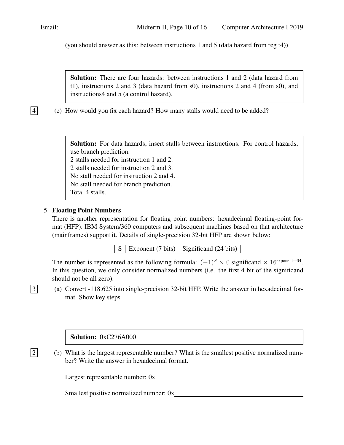(you should answer as this: between instructions 1 and 5 (data hazard from reg t4))

Solution: There are four hazards: between instructions 1 and 2 (data hazard from t1), instructions 2 and 3 (data hazard from s0), instructions 2 and 4 (from s0), and instructions4 and 5 (a control hazard).

 $|4|$  (e) How would you fix each hazard? How many stalls would need to be added?

Solution: For data hazards, insert stalls between instructions. For control hazards, use branch prediction.

2 stalls needed for instruction 1 and 2.

2 stalls needed for instruction 2 and 3.

No stall needed for instruction 2 and 4.

No stall needed for branch prediction.

Total 4 stalls.

### <span id="page-9-0"></span>5. Floating Point Numbers

There is another representation for floating point numbers: hexadecimal floating-point format (HFP). IBM System/360 computers and subsequent machines based on that architecture (mainframes) support it. Details of single-precision 32-bit HFP are shown below:

 $S \mid$  Exponent (7 bits) Significand (24 bits)

The number is represented as the following formula:  $(-1)^S \times 0$  significand  $\times 16^{\text{exponent}-64}$ . In this question, we only consider normalized numbers (i.e. the first 4 bit of the significand should not be all zero).

3 (a) Convert -118.625 into single-precision 32-bit HFP. Write the answer in hexadecimal format. Show key steps.

Solution: 0xC276A000

2 (b) What is the largest representable number? What is the smallest positive normalized number? Write the answer in hexadecimal format.

Largest representable number:  $0x$ 

Smallest positive normalized number: 0x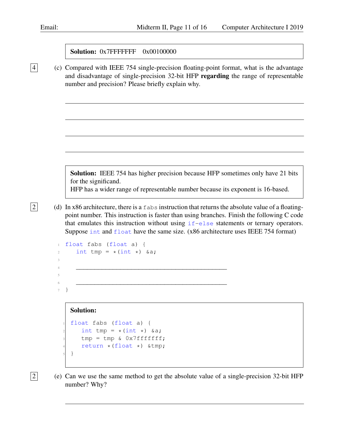|  | <b>Solution: 0x7FFFFFFF</b> 0x00100000 |  |
|--|----------------------------------------|--|
|  |                                        |  |

4 (c) Compared with IEEE 754 single-precision floating-point format, what is the advantage and disadvantage of single-precision 32-bit HFP regarding the range of representable number and precision? Please briefly explain why.

> Solution: IEEE 754 has higher precision because HFP sometimes only have 21 bits for the significand.

HFP has a wider range of representable number because its exponent is 16-based.

 $\boxed{2}$  (d) In x86 architecture, there is a fabs instruction that returns the absolute value of a floatingpoint number. This instruction is faster than using branches. Finish the following C code that emulates this instruction without using  $if$ -else statements or ternary operators. Suppose int and float have the same size. (x86 architecture uses IEEE 754 format)

```
float fabs (float a) {
2 int tmp = *(int *) & a;
3
4 _________________________________________
5
\epsilon7 }
```
### Solution:

```
float fabs (float a) {
  int tmp = *(int *) &a;
  tmp = tmp & 0x7fffffff;return *(float *) *5 }
```
 $\boxed{2}$  (e) Can we use the same method to get the absolute value of a single-precision 32-bit HFP number? Why?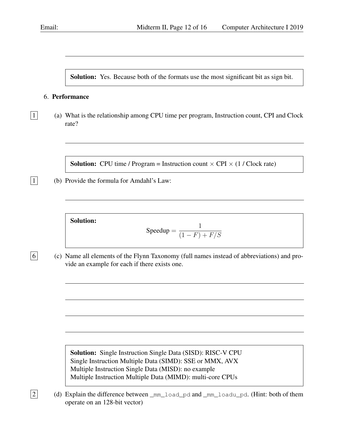Solution: Yes. Because both of the formats use the most significant bit as sign bit.

### <span id="page-11-0"></span>6. Performance

 $\boxed{1}$  (a) What is the relationship among CPU time per program, Instruction count, CPI and Clock rate?

**Solution:** CPU time / Program = Instruction count  $\times$  CPI  $\times$  (1 / Clock rate)

 $\boxed{1}$  (b) Provide the formula for Amdahl's Law:

```
Solution:
```

$$
Speedup = \frac{1}{(1 - F) + F/S}
$$

 $\boxed{6}$  (c) Name all elements of the Flynn Taxonomy (full names instead of abbreviations) and provide an example for each if there exists one.

> Solution: Single Instruction Single Data (SISD): RISC-V CPU Single Instruction Multiple Data (SIMD): SSE or MMX, AVX Multiple Instruction Single Data (MISD): no example Multiple Instruction Multiple Data (MIMD): multi-core CPUs

 $\boxed{2}$  (d) Explain the difference between \_mm\_load\_pd and \_mm\_loadu\_pd. (Hint: both of them operate on an 128-bit vector)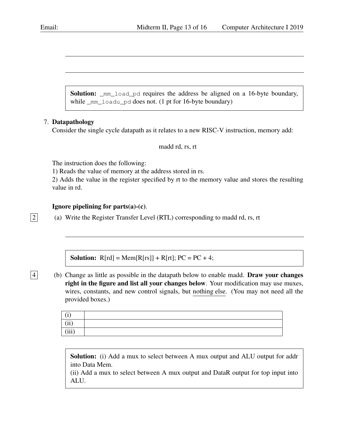Solution: \_mm\_load\_pd requires the address be aligned on a 16-byte boundary, while \_mm\_loadu\_pd does not. (1 pt for 16-byte boundary)

# <span id="page-12-0"></span>7. Datapathology

Consider the single cycle datapath as it relates to a new RISC-V instruction, memory add:

### madd rd, rs, rt

The instruction does the following:

1) Reads the value of memory at the address stored in rs.

2) Adds the value in the register specified by rt to the memory value and stores the resulting value in rd.

### Ignore pipelining for parts(a)-(c).

 $\boxed{2}$  (a) Write the Register Transfer Level (RTL) corresponding to madd rd, rs, rt

**Solution:**  $R[rd] = Mem[R[rs]] + R[rt]$ ;  $PC = PC + 4$ ;

 $\overline{4}$  (b) Change as little as possible in the datapath below to enable madd. Draw your changes right in the figure and list all your changes below. Your modification may use muxes, wires, constants, and new control signals, but nothing else. (You may not need all the provided boxes.)

| $\rightarrow$ |  |
|---------------|--|
| (ii)          |  |
| (iii)         |  |

Solution: (i) Add a mux to select between A mux output and ALU output for addr into Data Mem.

(ii) Add a mux to select between A mux output and DataR output for top input into ALU.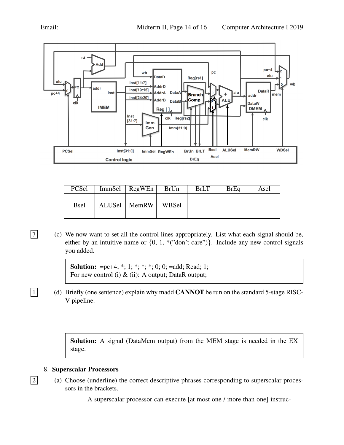

| PCSel       | Immsel   RegWEn | BrUn  | <b>BrLT</b> | <b>BrEq</b> | Asel |
|-------------|-----------------|-------|-------------|-------------|------|
|             |                 |       |             |             |      |
| <b>Bsel</b> | ALUSel   MemRW  | WBSel |             |             |      |
|             |                 |       |             |             |      |

 $\boxed{7}$  (c) We now want to set all the control lines appropriately. List what each signal should be, either by an intuitive name or  $\{0, 1, *("don't care")\}$ . Include any new control signals you added.

> **Solution:** =pc+4;  $*$ ; 1;  $*$ ;  $*$ ;  $*$ ; 0; 0; =add; Read; 1; For new control (i) & (ii): A output; DataR output;

 $\boxed{1}$  (d) Briefly (one sentence) explain why madd **CANNOT** be run on the standard 5-stage RISC-V pipeline.

> Solution: A signal (DataMem output) from the MEM stage is needed in the EX stage.

# <span id="page-13-0"></span>8. Superscalar Processors

- $\boxed{2}$  (a) Choose (underline) the correct descriptive phrases corresponding to superscalar processors in the brackets.
	- A superscalar processor can execute [at most one / more than one] instruc-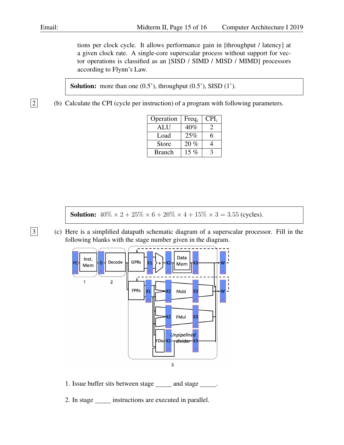tions per clock cycle. It allows performance gain in [throughput / latency] at a given clock rate. A single-core superscalar process without support for vector operations is classified as an [SISD / SIMD / MISD / MIMD] processors according to Flynn's Law.

Solution: more than one  $(0.5^{\prime})$ , throughput  $(0.5^{\prime})$ , SISD  $(1^{\prime})$ .

 $\boxed{2}$  (b) Calculate the CPI (cycle per instruction) of a program with following parameters.

| Operation     | $Freq_i$ | $CPI_i$ |
|---------------|----------|---------|
| <b>ALU</b>    | 40%      |         |
| Load          | 25%      | 6       |
| <b>Store</b>  | 20%      |         |
| <b>Branch</b> | 15 $%$   |         |

**Solution:**  $40\% \times 2 + 25\% \times 6 + 20\% \times 4 + 15\% \times 3 = 3.55$  (cycles).

3 (c) Here is a simplified datapath schematic diagram of a superscalar processor. Fill in the following blanks with the stage number given in the diagram.



- 1. Issue buffer sits between stage and stage .
- 2. In stage \_\_\_\_\_\_ instructions are executed in parallel.